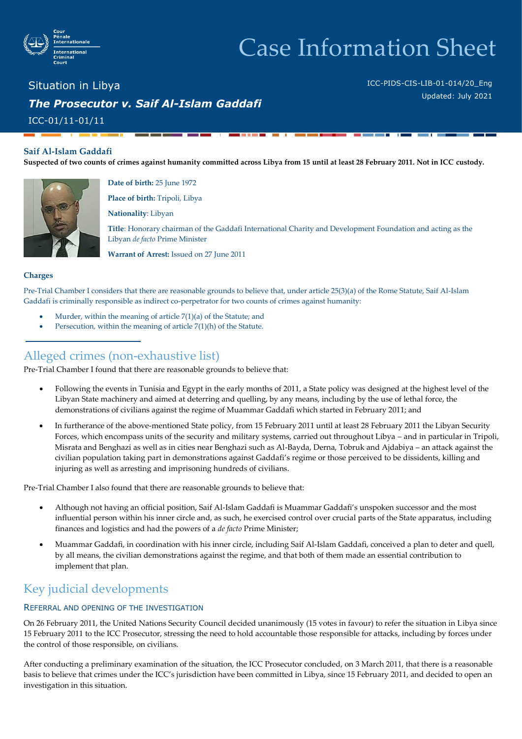# Case Information Sheet

ICC-PIDS-CIS-LIB-01-014/20\_Eng

Updated: July 2021

# Situation in Libya *The Prosecutor v. Saif Al-Islam Gaddafi* ICC-01/11-01/11

# **Saif Al-Islam Gaddafi**

**Suspected of two counts of crimes against humanity committed across Libya from 15 until at least 28 February 2011. Not in ICC custody.**



**Date of birth:** 25 June 1972

**Place of birth:** Tripoli, Libya

**Nationality**: Libyan

**Title**: Honorary chairman of the Gaddafi International Charity and Development Foundation and acting as the Libyan *de facto* Prime Minister

**Warrant of Arrest:** Issued on 27 June 2011

#### **Charges**

Pre-Trial Chamber I considers that there are reasonable grounds to believe that, under article 25(3)(a) of the Rome Statute, Saif Al-Islam Gaddafi is criminally responsible as indirect co-perpetrator for two counts of crimes against humanity:

- Murder, within the meaning of article 7(1)(a) of the Statute; and
- Persecution, within the meaning of article 7(1)(h) of the Statute.

# Alleged crimes (non-exhaustive list)

Pre-Trial Chamber I found that there are reasonable grounds to believe that:

- Following the events in Tunisia and Egypt in the early months of 2011, a State policy was designed at the highest level of the Libyan State machinery and aimed at deterring and quelling, by any means, including by the use of lethal force, the demonstrations of civilians against the regime of Muammar Gaddafi which started in February 2011; and
- In furtherance of the above-mentioned State policy, from 15 February 2011 until at least 28 February 2011 the Libyan Security Forces, which encompass units of the security and military systems, carried out throughout Libya – and in particular in Tripoli, Misrata and Benghazi as well as in cities near Benghazi such as Al-Bayda, Derna, Tobruk and Ajdabiya – an attack against the civilian population taking part in demonstrations against Gaddafi's regime or those perceived to be dissidents, killing and injuring as well as arresting and imprisoning hundreds of civilians.

Pre-Trial Chamber I also found that there are reasonable grounds to believe that:

- Although not having an official position, Saif Al-Islam Gaddafi is Muammar Gaddafi's unspoken successor and the most influential person within his inner circle and, as such, he exercised control over crucial parts of the State apparatus, including finances and logistics and had the powers of a *de facto* Prime Minister;
- Muammar Gaddafi, in coordination with his inner circle, including Saif Al-Islam Gaddafi, conceived a plan to deter and quell, by all means, the civilian demonstrations against the regime, and that both of them made an essential contribution to implement that plan.

# Key judicial developments

## REFERRAL AND OPENING OF THE INVESTIGATION

On 26 February 2011, the United Nations Security Council decided unanimously (15 votes in favour) to refer the situation in Libya since 15 February 2011 to the ICC Prosecutor, stressing the need to hold accountable those responsible for attacks, including by forces under the control of those responsible, on civilians.

After conducting a preliminary examination of the situation, the ICC Prosecutor concluded, on 3 March 2011, that there is a reasonable basis to believe that crimes under the ICC's jurisdiction have been committed in Libya, since 15 February 2011, and decided to open an investigation in this situation.